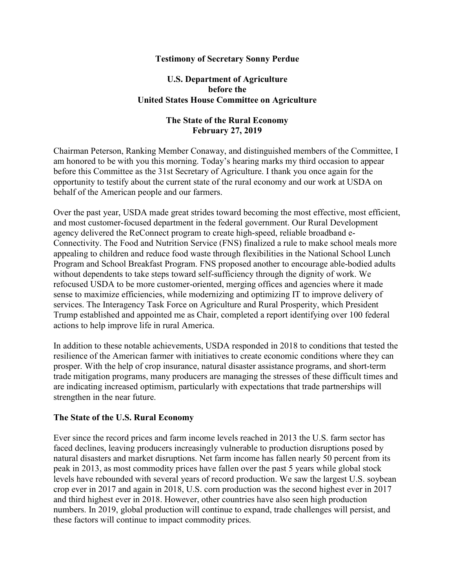#### Testimony of Secretary Sonny Perdue

#### U.S. Department of Agriculture before the United States House Committee on Agriculture

### The State of the Rural Economy February 27, 2019

Chairman Peterson, Ranking Member Conaway, and distinguished members of the Committee, I am honored to be with you this morning. Today's hearing marks my third occasion to appear before this Committee as the 31st Secretary of Agriculture. I thank you once again for the opportunity to testify about the current state of the rural economy and our work at USDA on behalf of the American people and our farmers.

Over the past year, USDA made great strides toward becoming the most effective, most efficient, and most customer-focused department in the federal government. Our Rural Development agency delivered the ReConnect program to create high-speed, reliable broadband e-Connectivity. The Food and Nutrition Service (FNS) finalized a rule to make school meals more appealing to children and reduce food waste through flexibilities in the National School Lunch Program and School Breakfast Program. FNS proposed another to encourage able-bodied adults without dependents to take steps toward self-sufficiency through the dignity of work. We refocused USDA to be more customer-oriented, merging offices and agencies where it made sense to maximize efficiencies, while modernizing and optimizing IT to improve delivery of services. The Interagency Task Force on Agriculture and Rural Prosperity, which President Trump established and appointed me as Chair, completed a report identifying over 100 federal actions to help improve life in rural America.

In addition to these notable achievements, USDA responded in 2018 to conditions that tested the resilience of the American farmer with initiatives to create economic conditions where they can prosper. With the help of crop insurance, natural disaster assistance programs, and short-term trade mitigation programs, many producers are managing the stresses of these difficult times and are indicating increased optimism, particularly with expectations that trade partnerships will strengthen in the near future.

#### The State of the U.S. Rural Economy

Ever since the record prices and farm income levels reached in 2013 the U.S. farm sector has faced declines, leaving producers increasingly vulnerable to production disruptions posed by natural disasters and market disruptions. Net farm income has fallen nearly 50 percent from its peak in 2013, as most commodity prices have fallen over the past 5 years while global stock levels have rebounded with several years of record production. We saw the largest U.S. soybean crop ever in 2017 and again in 2018, U.S. corn production was the second highest ever in 2017 and third highest ever in 2018. However, other countries have also seen high production numbers. In 2019, global production will continue to expand, trade challenges will persist, and these factors will continue to impact commodity prices.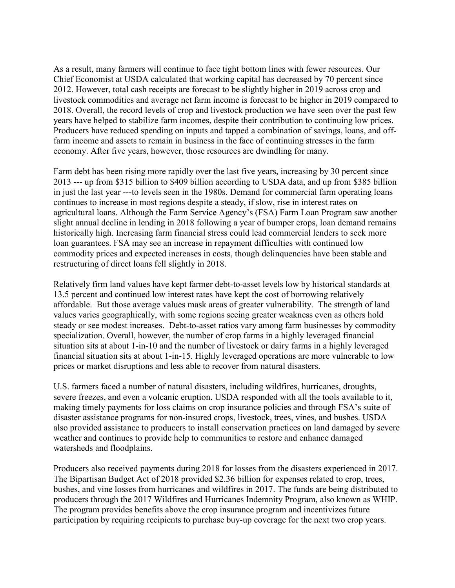As a result, many farmers will continue to face tight bottom lines with fewer resources. Our Chief Economist at USDA calculated that working capital has decreased by 70 percent since 2012. However, total cash receipts are forecast to be slightly higher in 2019 across crop and livestock commodities and average net farm income is forecast to be higher in 2019 compared to 2018. Overall, the record levels of crop and livestock production we have seen over the past few years have helped to stabilize farm incomes, despite their contribution to continuing low prices. Producers have reduced spending on inputs and tapped a combination of savings, loans, and offfarm income and assets to remain in business in the face of continuing stresses in the farm economy. After five years, however, those resources are dwindling for many.

Farm debt has been rising more rapidly over the last five years, increasing by 30 percent since 2013 --- up from \$315 billion to \$409 billion according to USDA data, and up from \$385 billion in just the last year ---to levels seen in the 1980s. Demand for commercial farm operating loans continues to increase in most regions despite a steady, if slow, rise in interest rates on agricultural loans. Although the Farm Service Agency's (FSA) Farm Loan Program saw another slight annual decline in lending in 2018 following a year of bumper crops, loan demand remains historically high. Increasing farm financial stress could lead commercial lenders to seek more loan guarantees. FSA may see an increase in repayment difficulties with continued low commodity prices and expected increases in costs, though delinquencies have been stable and restructuring of direct loans fell slightly in 2018.

Relatively firm land values have kept farmer debt-to-asset levels low by historical standards at 13.5 percent and continued low interest rates have kept the cost of borrowing relatively affordable. But those average values mask areas of greater vulnerability. The strength of land values varies geographically, with some regions seeing greater weakness even as others hold steady or see modest increases. Debt-to-asset ratios vary among farm businesses by commodity specialization. Overall, however, the number of crop farms in a highly leveraged financial situation sits at about 1-in-10 and the number of livestock or dairy farms in a highly leveraged financial situation sits at about 1-in-15. Highly leveraged operations are more vulnerable to low prices or market disruptions and less able to recover from natural disasters.

U.S. farmers faced a number of natural disasters, including wildfires, hurricanes, droughts, severe freezes, and even a volcanic eruption. USDA responded with all the tools available to it, making timely payments for loss claims on crop insurance policies and through FSA's suite of disaster assistance programs for non-insured crops, livestock, trees, vines, and bushes. USDA also provided assistance to producers to install conservation practices on land damaged by severe weather and continues to provide help to communities to restore and enhance damaged watersheds and floodplains.

Producers also received payments during 2018 for losses from the disasters experienced in 2017. The Bipartisan Budget Act of 2018 provided \$2.36 billion for expenses related to crop, trees, bushes, and vine losses from hurricanes and wildfires in 2017. The funds are being distributed to producers through the 2017 Wildfires and Hurricanes Indemnity Program, also known as WHIP. The program provides benefits above the crop insurance program and incentivizes future participation by requiring recipients to purchase buy-up coverage for the next two crop years.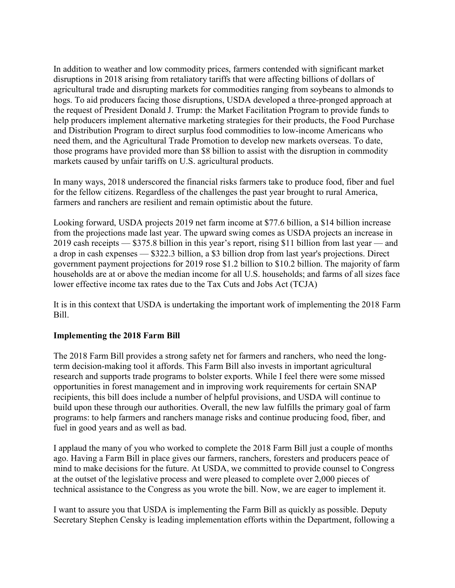In addition to weather and low commodity prices, farmers contended with significant market disruptions in 2018 arising from retaliatory tariffs that were affecting billions of dollars of agricultural trade and disrupting markets for commodities ranging from soybeans to almonds to hogs. To aid producers facing those disruptions, USDA developed a three-pronged approach at the request of President Donald J. Trump: the Market Facilitation Program to provide funds to help producers implement alternative marketing strategies for their products, the Food Purchase and Distribution Program to direct surplus food commodities to low-income Americans who need them, and the Agricultural Trade Promotion to develop new markets overseas. To date, those programs have provided more than \$8 billion to assist with the disruption in commodity markets caused by unfair tariffs on U.S. agricultural products.

In many ways, 2018 underscored the financial risks farmers take to produce food, fiber and fuel for the fellow citizens. Regardless of the challenges the past year brought to rural America, farmers and ranchers are resilient and remain optimistic about the future.

Looking forward, USDA projects 2019 net farm income at \$77.6 billion, a \$14 billion increase from the projections made last year. The upward swing comes as USDA projects an increase in 2019 cash receipts — \$375.8 billion in this year's report, rising \$11 billion from last year — and a drop in cash expenses — \$322.3 billion, a \$3 billion drop from last year's projections. Direct government payment projections for 2019 rose \$1.2 billion to \$10.2 billion. The majority of farm households are at or above the median income for all U.S. households; and farms of all sizes face lower effective income tax rates due to the Tax Cuts and Jobs Act (TCJA)

It is in this context that USDA is undertaking the important work of implementing the 2018 Farm Bill.

# Implementing the 2018 Farm Bill

The 2018 Farm Bill provides a strong safety net for farmers and ranchers, who need the longterm decision-making tool it affords. This Farm Bill also invests in important agricultural research and supports trade programs to bolster exports. While I feel there were some missed opportunities in forest management and in improving work requirements for certain SNAP recipients, this bill does include a number of helpful provisions, and USDA will continue to build upon these through our authorities. Overall, the new law fulfills the primary goal of farm programs: to help farmers and ranchers manage risks and continue producing food, fiber, and fuel in good years and as well as bad.

I applaud the many of you who worked to complete the 2018 Farm Bill just a couple of months ago. Having a Farm Bill in place gives our farmers, ranchers, foresters and producers peace of mind to make decisions for the future. At USDA, we committed to provide counsel to Congress at the outset of the legislative process and were pleased to complete over 2,000 pieces of technical assistance to the Congress as you wrote the bill. Now, we are eager to implement it.

I want to assure you that USDA is implementing the Farm Bill as quickly as possible. Deputy Secretary Stephen Censky is leading implementation efforts within the Department, following a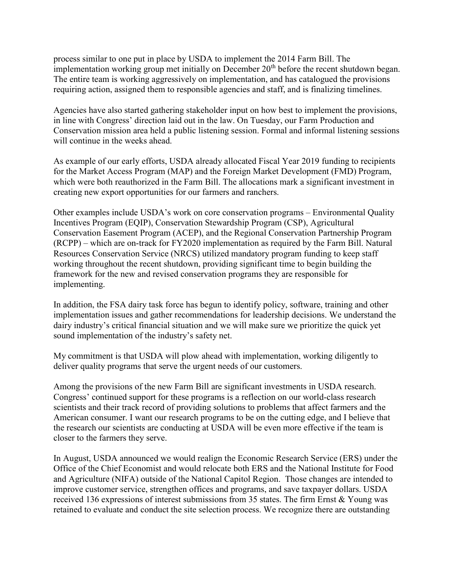process similar to one put in place by USDA to implement the 2014 Farm Bill. The implementation working group met initially on December  $20<sup>th</sup>$  before the recent shutdown began. The entire team is working aggressively on implementation, and has catalogued the provisions requiring action, assigned them to responsible agencies and staff, and is finalizing timelines.

Agencies have also started gathering stakeholder input on how best to implement the provisions, in line with Congress' direction laid out in the law. On Tuesday, our Farm Production and Conservation mission area held a public listening session. Formal and informal listening sessions will continue in the weeks ahead.

As example of our early efforts, USDA already allocated Fiscal Year 2019 funding to recipients for the Market Access Program (MAP) and the Foreign Market Development (FMD) Program, which were both reauthorized in the Farm Bill. The allocations mark a significant investment in creating new export opportunities for our farmers and ranchers.

Other examples include USDA's work on core conservation programs – Environmental Quality Incentives Program (EQIP), Conservation Stewardship Program (CSP), Agricultural Conservation Easement Program (ACEP), and the Regional Conservation Partnership Program (RCPP) – which are on-track for FY2020 implementation as required by the Farm Bill. Natural Resources Conservation Service (NRCS) utilized mandatory program funding to keep staff working throughout the recent shutdown, providing significant time to begin building the framework for the new and revised conservation programs they are responsible for implementing.

In addition, the FSA dairy task force has begun to identify policy, software, training and other implementation issues and gather recommendations for leadership decisions. We understand the dairy industry's critical financial situation and we will make sure we prioritize the quick yet sound implementation of the industry's safety net.

My commitment is that USDA will plow ahead with implementation, working diligently to deliver quality programs that serve the urgent needs of our customers.

Among the provisions of the new Farm Bill are significant investments in USDA research. Congress' continued support for these programs is a reflection on our world-class research scientists and their track record of providing solutions to problems that affect farmers and the American consumer. I want our research programs to be on the cutting edge, and I believe that the research our scientists are conducting at USDA will be even more effective if the team is closer to the farmers they serve.

In August, USDA announced we would realign the Economic Research Service (ERS) under the Office of the Chief Economist and would relocate both ERS and the National Institute for Food and Agriculture (NIFA) outside of the National Capitol Region. Those changes are intended to improve customer service, strengthen offices and programs, and save taxpayer dollars. USDA received 136 expressions of interest submissions from 35 states. The firm Ernst & Young was retained to evaluate and conduct the site selection process. We recognize there are outstanding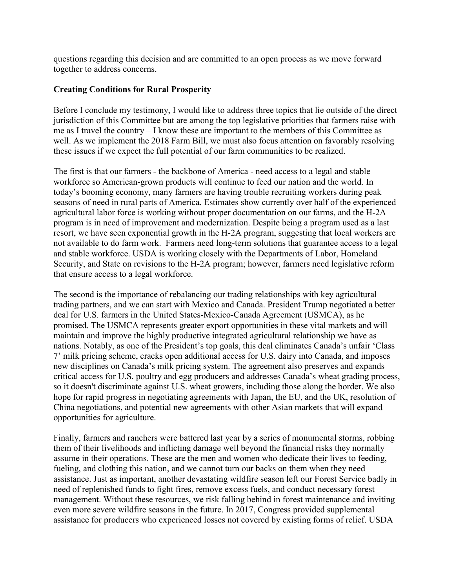questions regarding this decision and are committed to an open process as we move forward together to address concerns.

### Creating Conditions for Rural Prosperity

Before I conclude my testimony, I would like to address three topics that lie outside of the direct jurisdiction of this Committee but are among the top legislative priorities that farmers raise with me as I travel the country – I know these are important to the members of this Committee as well. As we implement the 2018 Farm Bill, we must also focus attention on favorably resolving these issues if we expect the full potential of our farm communities to be realized.

The first is that our farmers - the backbone of America - need access to a legal and stable workforce so American-grown products will continue to feed our nation and the world. In today's booming economy, many farmers are having trouble recruiting workers during peak seasons of need in rural parts of America. Estimates show currently over half of the experienced agricultural labor force is working without proper documentation on our farms, and the H-2A program is in need of improvement and modernization. Despite being a program used as a last resort, we have seen exponential growth in the H-2A program, suggesting that local workers are not available to do farm work. Farmers need long-term solutions that guarantee access to a legal and stable workforce. USDA is working closely with the Departments of Labor, Homeland Security, and State on revisions to the H-2A program; however, farmers need legislative reform that ensure access to a legal workforce.

The second is the importance of rebalancing our trading relationships with key agricultural trading partners, and we can start with Mexico and Canada. President Trump negotiated a better deal for U.S. farmers in the United States-Mexico-Canada Agreement (USMCA), as he promised. The USMCA represents greater export opportunities in these vital markets and will maintain and improve the highly productive integrated agricultural relationship we have as nations. Notably, as one of the President's top goals, this deal eliminates Canada's unfair 'Class 7' milk pricing scheme, cracks open additional access for U.S. dairy into Canada, and imposes new disciplines on Canada's milk pricing system. The agreement also preserves and expands critical access for U.S. poultry and egg producers and addresses Canada's wheat grading process, so it doesn't discriminate against U.S. wheat growers, including those along the border. We also hope for rapid progress in negotiating agreements with Japan, the EU, and the UK, resolution of China negotiations, and potential new agreements with other Asian markets that will expand opportunities for agriculture.

Finally, farmers and ranchers were battered last year by a series of monumental storms, robbing them of their livelihoods and inflicting damage well beyond the financial risks they normally assume in their operations. These are the men and women who dedicate their lives to feeding, fueling, and clothing this nation, and we cannot turn our backs on them when they need assistance. Just as important, another devastating wildfire season left our Forest Service badly in need of replenished funds to fight fires, remove excess fuels, and conduct necessary forest management. Without these resources, we risk falling behind in forest maintenance and inviting even more severe wildfire seasons in the future. In 2017, Congress provided supplemental assistance for producers who experienced losses not covered by existing forms of relief. USDA